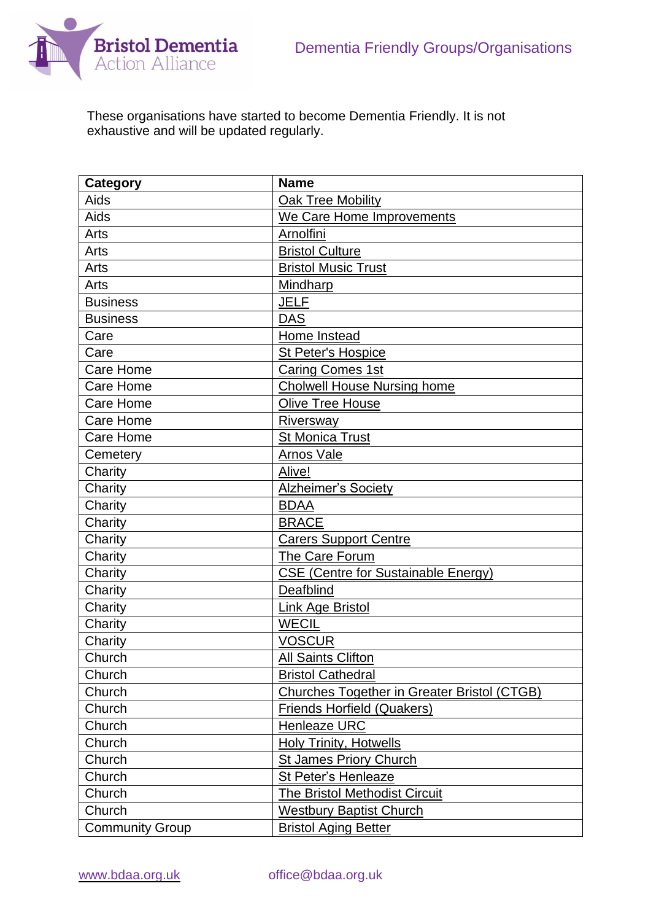

These organisations have started to become Dementia Friendly. It is not exhaustive and will be updated regularly.

| <b>Category</b>        | <b>Name</b>                                        |  |
|------------------------|----------------------------------------------------|--|
| Aids                   | <b>Oak Tree Mobility</b>                           |  |
| Aids                   | We Care Home Improvements                          |  |
| Arts                   | Arnolfini                                          |  |
| Arts                   | <b>Bristol Culture</b>                             |  |
| Arts                   | <b>Bristol Music Trust</b>                         |  |
| Arts                   | Mindharp                                           |  |
| <b>Business</b>        | <b>JELF</b>                                        |  |
| <b>Business</b>        | <b>DAS</b>                                         |  |
| Care                   | Home Instead                                       |  |
| Care                   | <b>St Peter's Hospice</b>                          |  |
| Care Home              | <b>Caring Comes 1st</b>                            |  |
| <b>Care Home</b>       | <b>Cholwell House Nursing home</b>                 |  |
| <b>Care Home</b>       | <b>Olive Tree House</b>                            |  |
| <b>Care Home</b>       | Riversway                                          |  |
| Care Home              | <b>St Monica Trust</b>                             |  |
| Cemetery               | <b>Arnos Vale</b>                                  |  |
| Charity                | Alive!                                             |  |
| Charity                | Alzheimer's Society                                |  |
| Charity                | <b>BDAA</b>                                        |  |
| Charity                | <b>BRACE</b>                                       |  |
| Charity                | <b>Carers Support Centre</b>                       |  |
| Charity                | The Care Forum                                     |  |
| Charity                | <b>CSE (Centre for Sustainable Energy)</b>         |  |
| Charity                | Deafblind                                          |  |
| Charity                | <b>Link Age Bristol</b>                            |  |
| Charity                | <b>WECIL</b>                                       |  |
| Charity                | <b>VOSCUR</b>                                      |  |
| Church                 | <b>All Saints Clifton</b>                          |  |
| Church                 | <b>Bristol Cathedral</b>                           |  |
| Church                 | <b>Churches Together in Greater Bristol (CTGB)</b> |  |
| Church                 | <b>Friends Horfield (Quakers)</b>                  |  |
| Church                 | <b>Henleaze URC</b>                                |  |
| Church                 | <b>Holy Trinity, Hotwells</b>                      |  |
| Church                 | <b>St James Priory Church</b>                      |  |
| Church                 | St Peter's Henleaze                                |  |
| Church                 | The Bristol Methodist Circuit                      |  |
| Church                 | <b>Westbury Baptist Church</b>                     |  |
| <b>Community Group</b> | <b>Bristol Aging Better</b>                        |  |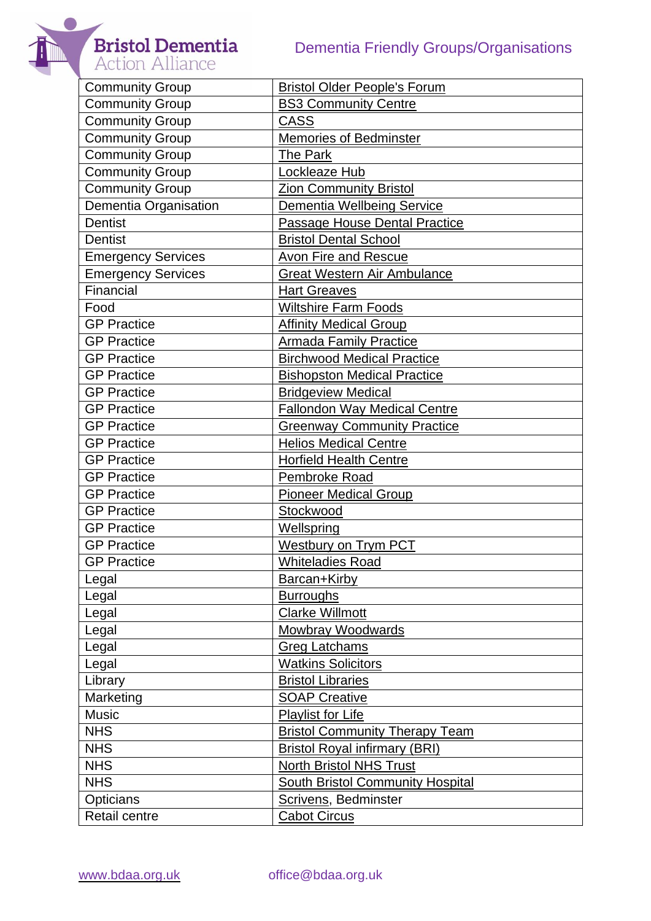**Bristol Dementia**<br>Action Alliance





| <b>Community Group</b>    | <b>Bristol Older People's Forum</b>     |  |
|---------------------------|-----------------------------------------|--|
| <b>Community Group</b>    | <b>BS3 Community Centre</b>             |  |
| Community Group           | <b>CASS</b>                             |  |
| <b>Community Group</b>    | <b>Memories of Bedminster</b>           |  |
| <b>Community Group</b>    | The Park                                |  |
| Community Group           | Lockleaze Hub                           |  |
| <b>Community Group</b>    | <b>Zion Community Bristol</b>           |  |
| Dementia Organisation     | Dementia Wellbeing Service              |  |
| <b>Dentist</b>            | Passage House Dental Practice           |  |
| <b>Dentist</b>            | <b>Bristol Dental School</b>            |  |
| <b>Emergency Services</b> | <b>Avon Fire and Rescue</b>             |  |
| <b>Emergency Services</b> | <b>Great Western Air Ambulance</b>      |  |
| Financial                 | Hart Greaves                            |  |
| Food                      | <b>Wiltshire Farm Foods</b>             |  |
| <b>GP Practice</b>        | <b>Affinity Medical Group</b>           |  |
| <b>GP Practice</b>        | <b>Armada Family Practice</b>           |  |
| <b>GP Practice</b>        | <b>Birchwood Medical Practice</b>       |  |
| <b>GP Practice</b>        | <b>Bishopston Medical Practice</b>      |  |
| <b>GP Practice</b>        | <b>Bridgeview Medical</b>               |  |
| <b>GP Practice</b>        | <b>Fallondon Way Medical Centre</b>     |  |
| <b>GP Practice</b>        | <b>Greenway Community Practice</b>      |  |
| <b>GP Practice</b>        | <b>Helios Medical Centre</b>            |  |
| <b>GP Practice</b>        | <b>Horfield Health Centre</b>           |  |
| <b>GP Practice</b>        | Pembroke Road                           |  |
| <b>GP Practice</b>        | <b>Pioneer Medical Group</b>            |  |
| <b>GP Practice</b>        | Stockwood                               |  |
| <b>GP Practice</b>        | Wellspring                              |  |
| <b>GP Practice</b>        | Westbury on Trym PCT                    |  |
| <b>GP Practice</b>        | <b>Whiteladies Road</b>                 |  |
| Legal                     | Barcan+Kirby                            |  |
| Legal                     | <b>Burroughs</b>                        |  |
| Legal                     | <b>Clarke Willmott</b>                  |  |
| Legal                     | <b>Mowbray Woodwards</b>                |  |
| Legal                     | <b>Greg Latchams</b>                    |  |
| Legal                     | <b>Watkins Solicitors</b>               |  |
| Library                   | <b>Bristol Libraries</b>                |  |
| Marketing                 | <b>SOAP Creative</b>                    |  |
| <b>Music</b>              | <b>Playlist for Life</b>                |  |
| <b>NHS</b>                | <b>Bristol Community Therapy Team</b>   |  |
| <b>NHS</b>                | <b>Bristol Royal infirmary (BRI)</b>    |  |
| <b>NHS</b>                | <b>North Bristol NHS Trust</b>          |  |
| <b>NHS</b>                | <b>South Bristol Community Hospital</b> |  |
| Opticians                 | Scrivens, Bedminster                    |  |
| Retail centre             | <b>Cabot Circus</b>                     |  |